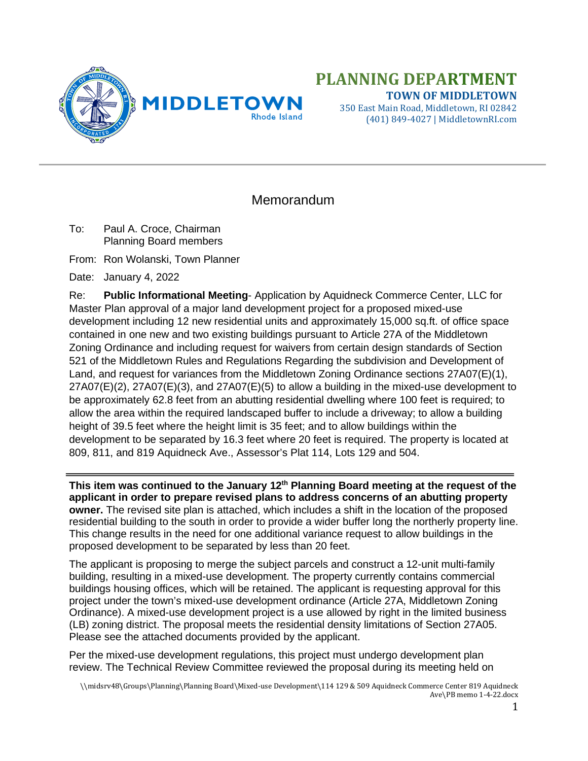

# **PLANNING DEPARTMENT TOWN OF MIDDLETOWN**

350 East Main Road, Middletown, RI 02842 (401) 849-4027 | MiddletownRI.com

# Memorandum

To: Paul A. Croce, Chairman Planning Board members

From: Ron Wolanski, Town Planner

Date: January 4, 2022

Re: **Public Informational Meeting**- Application by Aquidneck Commerce Center, LLC for Master Plan approval of a major land development project for a proposed mixed-use development including 12 new residential units and approximately 15,000 sq.ft. of office space contained in one new and two existing buildings pursuant to Article 27A of the Middletown Zoning Ordinance and including request for waivers from certain design standards of Section 521 of the Middletown Rules and Regulations Regarding the subdivision and Development of Land, and request for variances from the Middletown Zoning Ordinance sections 27A07(E)(1),  $27A07(E)(2)$ ,  $27A07(E)(3)$ , and  $27A07(E)(5)$  to allow a building in the mixed-use development to be approximately 62.8 feet from an abutting residential dwelling where 100 feet is required; to allow the area within the required landscaped buffer to include a driveway; to allow a building height of 39.5 feet where the height limit is 35 feet; and to allow buildings within the development to be separated by 16.3 feet where 20 feet is required. The property is located at 809, 811, and 819 Aquidneck Ave., Assessor's Plat 114, Lots 129 and 504.

**This item was continued to the January 12th Planning Board meeting at the request of the applicant in order to prepare revised plans to address concerns of an abutting property owner.** The revised site plan is attached, which includes a shift in the location of the proposed residential building to the south in order to provide a wider buffer long the northerly property line. This change results in the need for one additional variance request to allow buildings in the proposed development to be separated by less than 20 feet.

The applicant is proposing to merge the subject parcels and construct a 12-unit multi-family building, resulting in a mixed-use development. The property currently contains commercial buildings housing offices, which will be retained. The applicant is requesting approval for this project under the town's mixed-use development ordinance (Article 27A, Middletown Zoning Ordinance). A mixed-use development project is a use allowed by right in the limited business (LB) zoning district. The proposal meets the residential density limitations of Section 27A05. Please see the attached documents provided by the applicant.

Per the mixed-use development regulations, this project must undergo development plan review. The Technical Review Committee reviewed the proposal during its meeting held on

\\midsrv48\Groups\Planning\Planning Board\Mixed-use Development\114 129 & 509 Aquidneck Commerce Center 819 Aquidneck Ave\PB memo 1-4-22.docx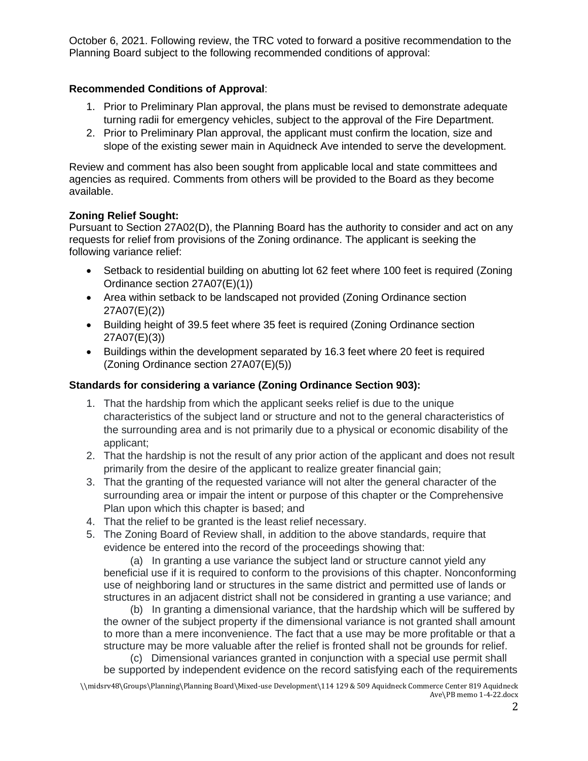October 6, 2021. Following review, the TRC voted to forward a positive recommendation to the Planning Board subject to the following recommended conditions of approval:

## **Recommended Conditions of Approval**:

- 1. Prior to Preliminary Plan approval, the plans must be revised to demonstrate adequate turning radii for emergency vehicles, subject to the approval of the Fire Department.
- 2. Prior to Preliminary Plan approval, the applicant must confirm the location, size and slope of the existing sewer main in Aquidneck Ave intended to serve the development.

Review and comment has also been sought from applicable local and state committees and agencies as required. Comments from others will be provided to the Board as they become available.

#### **Zoning Relief Sought:**

Pursuant to Section 27A02(D), the Planning Board has the authority to consider and act on any requests for relief from provisions of the Zoning ordinance. The applicant is seeking the following variance relief:

- Setback to residential building on abutting lot 62 feet where 100 feet is required (Zoning Ordinance section 27A07(E)(1))
- Area within setback to be landscaped not provided (Zoning Ordinance section 27A07(E)(2))
- Building height of 39.5 feet where 35 feet is required (Zoning Ordinance section 27A07(E)(3))
- Buildings within the development separated by 16.3 feet where 20 feet is required (Zoning Ordinance section 27A07(E)(5))

#### **Standards for considering a variance (Zoning Ordinance Section 903):**

- 1. That the hardship from which the applicant seeks relief is due to the unique characteristics of the subject land or structure and not to the general characteristics of the surrounding area and is not primarily due to a physical or economic disability of the applicant;
- 2. That the hardship is not the result of any prior action of the applicant and does not result primarily from the desire of the applicant to realize greater financial gain;
- 3. That the granting of the requested variance will not alter the general character of the surrounding area or impair the intent or purpose of this chapter or the Comprehensive Plan upon which this chapter is based; and
- 4. That the relief to be granted is the least relief necessary.
- 5. The Zoning Board of Review shall, in addition to the above standards, require that evidence be entered into the record of the proceedings showing that:

 (a) In granting a use variance the subject land or structure cannot yield any beneficial use if it is required to conform to the provisions of this chapter. Nonconforming use of neighboring land or structures in the same district and permitted use of lands or structures in an adjacent district shall not be considered in granting a use variance; and

 (b) In granting a dimensional variance, that the hardship which will be suffered by the owner of the subject property if the dimensional variance is not granted shall amount to more than a mere inconvenience. The fact that a use may be more profitable or that a structure may be more valuable after the relief is fronted shall not be grounds for relief.

 (c) Dimensional variances granted in conjunction with a special use permit shall be supported by independent evidence on the record satisfying each of the requirements

<sup>\\</sup>midsrv48\Groups\Planning\Planning Board\Mixed-use Development\114 129 & 509 Aquidneck Commerce Center 819 Aquidneck Ave\PB memo 1-4-22.docx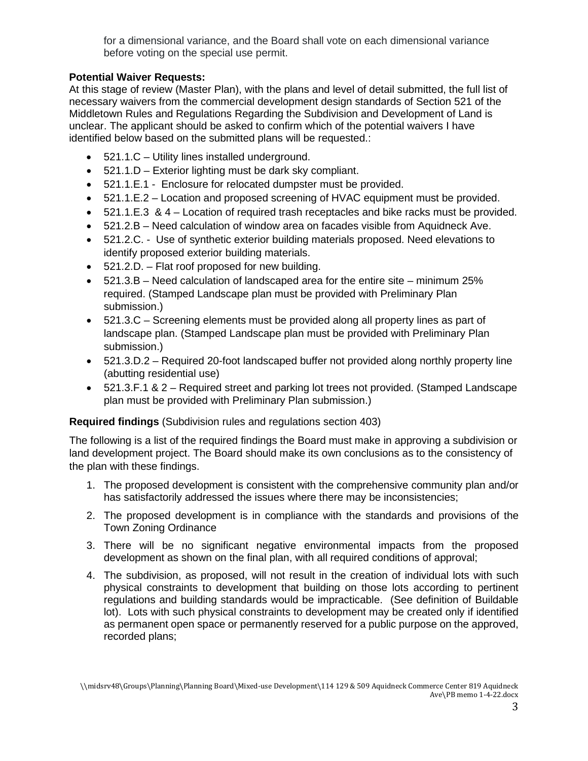for a dimensional variance, and the Board shall vote on each dimensional variance before voting on the special use permit.

# **Potential Waiver Requests:**

At this stage of review (Master Plan), with the plans and level of detail submitted, the full list of necessary waivers from the commercial development design standards of Section 521 of the Middletown Rules and Regulations Regarding the Subdivision and Development of Land is unclear. The applicant should be asked to confirm which of the potential waivers I have identified below based on the submitted plans will be requested.:

- 521.1.C Utility lines installed underground.
- 521.1.D Exterior lighting must be dark sky compliant.
- 521.1.E.1 Enclosure for relocated dumpster must be provided.
- 521.1.E.2 Location and proposed screening of HVAC equipment must be provided.
- 521.1.E.3 & 4 Location of required trash receptacles and bike racks must be provided.
- 521.2.B Need calculation of window area on facades visible from Aquidneck Ave.
- 521.2.C. Use of synthetic exterior building materials proposed. Need elevations to identify proposed exterior building materials.
- 521.2.D. Flat roof proposed for new building.
- 521.3.B Need calculation of landscaped area for the entire site minimum 25% required. (Stamped Landscape plan must be provided with Preliminary Plan submission.)
- 521.3.C Screening elements must be provided along all property lines as part of landscape plan. (Stamped Landscape plan must be provided with Preliminary Plan submission.)
- 521.3.D.2 Required 20-foot landscaped buffer not provided along northly property line (abutting residential use)
- 521.3.F.1 & 2 Required street and parking lot trees not provided. (Stamped Landscape plan must be provided with Preliminary Plan submission.)

## **Required findings** (Subdivision rules and regulations section 403)

The following is a list of the required findings the Board must make in approving a subdivision or land development project. The Board should make its own conclusions as to the consistency of the plan with these findings.

- 1. The proposed development is consistent with the comprehensive community plan and/or has satisfactorily addressed the issues where there may be inconsistencies;
- 2. The proposed development is in compliance with the standards and provisions of the Town Zoning Ordinance
- 3. There will be no significant negative environmental impacts from the proposed development as shown on the final plan, with all required conditions of approval;
- 4. The subdivision, as proposed, will not result in the creation of individual lots with such physical constraints to development that building on those lots according to pertinent regulations and building standards would be impracticable. (See definition of Buildable lot). Lots with such physical constraints to development may be created only if identified as permanent open space or permanently reserved for a public purpose on the approved, recorded plans;